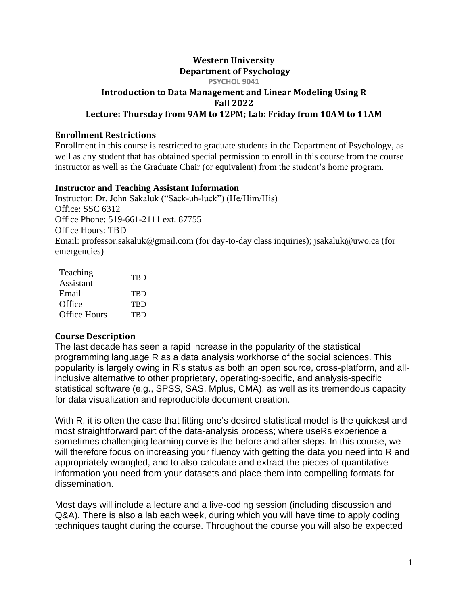# **Western University Department of Psychology**

**PSYCHOL 9041**

#### **Introduction to Data Management and Linear Modeling Using R Fall 2022 Lecture: Thursday from 9AM to 12PM; Lab: Friday from 10AM to 11AM**

#### **Enrollment Restrictions**

Enrollment in this course is restricted to graduate students in the Department of Psychology, as well as any student that has obtained special permission to enroll in this course from the course instructor as well as the Graduate Chair (or equivalent) from the student's home program.

## **Instructor and Teaching Assistant Information**

Instructor: Dr. John Sakaluk ("Sack-uh-luck") (He/Him/His) Office: SSC 6312 Office Phone: 519-661-2111 ext. 87755 Office Hours: TBD Email: professor.sakaluk@gmail.com (for day-to-day class inquiries); jsakaluk@uwo.ca (for emergencies)

| Teaching            | TBD        |
|---------------------|------------|
| Assistant           |            |
| Email               | <b>TRD</b> |
| Office              | <b>TRD</b> |
| <b>Office Hours</b> | TBD        |

## **Course Description**

The last decade has seen a rapid increase in the popularity of the statistical programming language R as a data analysis workhorse of the social sciences. This popularity is largely owing in R's status as both an open source, cross-platform, and allinclusive alternative to other proprietary, operating-specific, and analysis-specific statistical software (e.g., SPSS, SAS, Mplus, CMA), as well as its tremendous capacity for data visualization and reproducible document creation.

With R, it is often the case that fitting one's desired statistical model is the quickest and most straightforward part of the data-analysis process; where useRs experience a sometimes challenging learning curve is the before and after steps. In this course, we will therefore focus on increasing your fluency with getting the data you need into R and appropriately wrangled, and to also calculate and extract the pieces of quantitative information you need from your datasets and place them into compelling formats for dissemination.

Most days will include a lecture and a live-coding session (including discussion and Q&A). There is also a lab each week, during which you will have time to apply coding techniques taught during the course. Throughout the course you will also be expected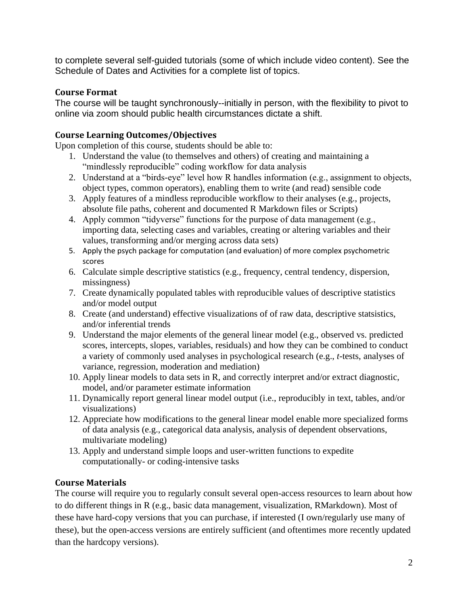to complete several self-guided tutorials (some of which include video content). See the Schedule of Dates and Activities for a complete list of topics.

## **Course Format**

The course will be taught synchronously--initially in person, with the flexibility to pivot to online via zoom should public health circumstances dictate a shift.

## **Course Learning Outcomes/Objectives**

Upon completion of this course, students should be able to:

- 1. Understand the value (to themselves and others) of creating and maintaining a "mindlessly reproducible" coding workflow for data analysis
- 2. Understand at a "birds-eye" level how R handles information (e.g., assignment to objects, object types, common operators), enabling them to write (and read) sensible code
- 3. Apply features of a mindless reproducible workflow to their analyses (e.g., projects, absolute file paths, coherent and documented R Markdown files or Scripts)
- 4. Apply common "tidyverse" functions for the purpose of data management (e.g., importing data, selecting cases and variables, creating or altering variables and their values, transforming and/or merging across data sets)
- 5. Apply the psych package for computation (and evaluation) of more complex psychometric scores
- 6. Calculate simple descriptive statistics (e.g., frequency, central tendency, dispersion, missingness)
- 7. Create dynamically populated tables with reproducible values of descriptive statistics and/or model output
- 8. Create (and understand) effective visualizations of of raw data, descriptive statsistics, and/or inferential trends
- 9. Understand the major elements of the general linear model (e.g., observed vs. predicted scores, intercepts, slopes, variables, residuals) and how they can be combined to conduct a variety of commonly used analyses in psychological research (e.g., *t*-tests, analyses of variance, regression, moderation and mediation)
- 10. Apply linear models to data sets in R, and correctly interpret and/or extract diagnostic, model, and/or parameter estimate information
- 11. Dynamically report general linear model output (i.e., reproducibly in text, tables, and/or visualizations)
- 12. Appreciate how modifications to the general linear model enable more specialized forms of data analysis (e.g., categorical data analysis, analysis of dependent observations, multivariate modeling)
- 13. Apply and understand simple loops and user-written functions to expedite computationally- or coding-intensive tasks

## **Course Materials**

The course will require you to regularly consult several open-access resources to learn about how to do different things in R (e.g., basic data management, visualization, RMarkdown). Most of these have hard-copy versions that you can purchase, if interested (I own/regularly use many of these), but the open-access versions are entirely sufficient (and oftentimes more recently updated than the hardcopy versions).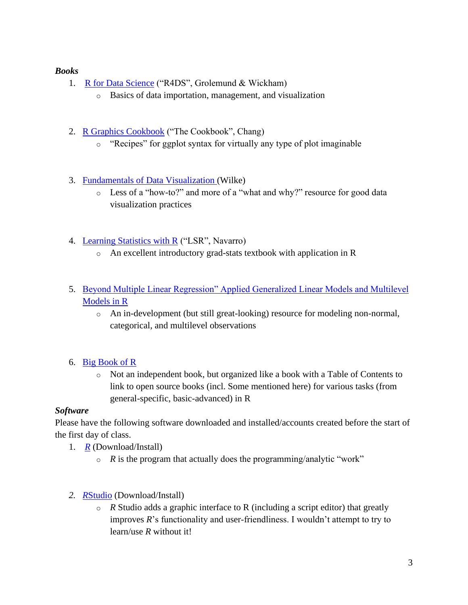## *Books*

- 1. [R for Data Science](https://r4ds.had.co.nz/) ("R4DS", Grolemund & Wickham)
	- o Basics of data importation, management, and visualization
- 2. [R Graphics Cookbook](https://r-graphics.org/) ("The Cookbook", Chang)
	- o "Recipes" for ggplot syntax for virtually any type of plot imaginable
- 3. [Fundamentals of Data Visualization \(](https://serialmentor.com/dataviz/)Wilke)
	- o Less of a "how-to?" and more of a "what and why?" resource for good data visualization practices
- 4. [Learning Statistics with R](https://learningstatisticswithr.com/book/) ("LSR", Navarro)
	- o An excellent introductory grad-stats textbook with application in R
- 5. [Beyond Multiple Linear Regression" Applied Generalized Linear Models and Multilevel](https://bookdown.org/roback/bookdown-BeyondMLR/)  [Models in R](https://bookdown.org/roback/bookdown-BeyondMLR/)
	- o An in-development (but still great-looking) resource for modeling non-normal, categorical, and multilevel observations

## 6. [Big Book of R](https://www.bigbookofr.com/)

o Not an independent book, but organized like a book with a Table of Contents to link to open source books (incl. Some mentioned here) for various tasks (from general-specific, basic-advanced) in R

#### *Software*

Please have the following software downloaded and installed/accounts created before the start of the first day of class.

- 1. *[R](http://cran.utstat.utoronto.ca/)* (Download/Install)
	- $\circ$  *R* is the program that actually does the programming/analytic "work"
- *2. R*[Studio](https://rstudio.com/products/rstudio/download/#download) (Download/Install)
	- o *R* Studio adds a graphic interface to R (including a script editor) that greatly improves *R*'s functionality and user-friendliness. I wouldn't attempt to try to learn/use *R* without it!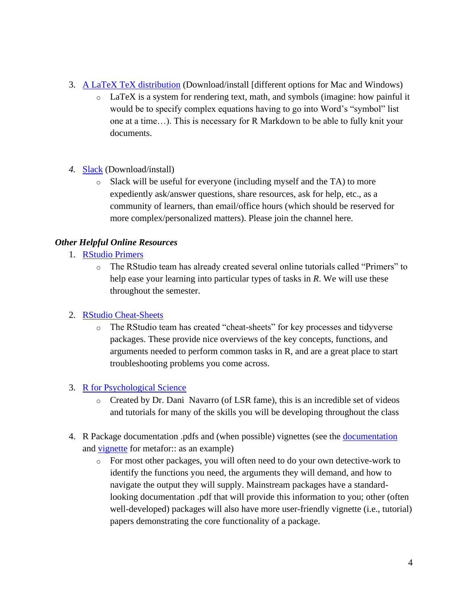- 3. [A LaTeX TeX distribution](https://www.latex-project.org/get/) (Download/install [different options for Mac and Windows)
	- $\circ$  LaTeX is a system for rendering text, math, and symbols (imagine: how painful it would be to specify complex equations having to go into Word's "symbol" list one at a time…). This is necessary for R Markdown to be able to fully knit your documents.
- *4.* [Slack](https://slack.com/) (Download/install)
	- o Slack will be useful for everyone (including myself and the TA) to more expediently ask/answer questions, share resources, ask for help, etc., as a community of learners, than email/office hours (which should be reserved for more complex/personalized matters). Please join the channel here.

#### *Other Helpful Online Resources*

- 1. [RStudio Primers](https://rstudio.cloud/learn/primers)
	- o The RStudio team has already created several online tutorials called "Primers" to help ease your learning into particular types of tasks in *R*. We will use these throughout the semester.

#### 2. [RStudio Cheat-Sheets](https://rstudio.com/resources/cheatsheets/)

o The RStudio team has created "cheat-sheets" for key processes and tidyverse packages. These provide nice overviews of the key concepts, functions, and arguments needed to perform common tasks in R, and are a great place to start troubleshooting problems you come across.

#### 3. [R for Psychological Science](https://psyr.djnavarro.net/index.html)

- o Created by Dr. Dani Navarro (of LSR fame), this is an incredible set of videos and tutorials for many of the skills you will be developing throughout the class
- 4. R Package [documentation](https://cran.r-project.org/web/packages/metafor/) .pdfs and (when possible) vignettes (see the documentation and [vignette](https://cran.r-project.org/web/packages/metafor/vignettes/metafor.pdf) for metafor:: as an example)
	- o For most other packages, you will often need to do your own detective-work to identify the functions you need, the arguments they will demand, and how to navigate the output they will supply. Mainstream packages have a standardlooking documentation .pdf that will provide this information to you; other (often well-developed) packages will also have more user-friendly vignette (i.e., tutorial) papers demonstrating the core functionality of a package.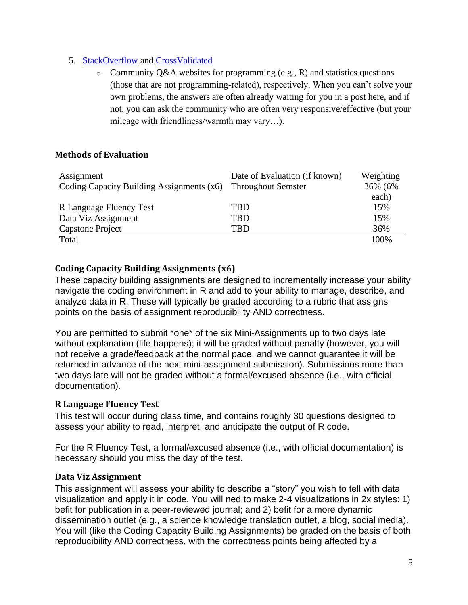## 5. [StackOverflow](https://stackoverflow.com/) and [CrossValidated](https://stats.stackexchange.com/)

 $\circ$  Community Q&A websites for programming (e.g., R) and statistics questions (those that are not programming-related), respectively. When you can't solve your own problems, the answers are often already waiting for you in a post here, and if not, you can ask the community who are often very responsive/effective (but your mileage with friendliness/warmth may vary…).

## **Methods of Evaluation**

| Assignment                                | Date of Evaluation (if known) | Weighting |
|-------------------------------------------|-------------------------------|-----------|
| Coding Capacity Building Assignments (x6) | <b>Throughout Semster</b>     | 36% (6%   |
|                                           |                               | each)     |
| R Language Fluency Test                   | TBD                           | 15%       |
| Data Viz Assignment                       | TBD                           | 15%       |
| <b>Capstone Project</b>                   | TBD                           | 36%       |
| Total                                     |                               | 100%      |

## **Coding Capacity Building Assignments (x6)**

These capacity building assignments are designed to incrementally increase your ability navigate the coding environment in R and add to your ability to manage, describe, and analyze data in R. These will typically be graded according to a rubric that assigns points on the basis of assignment reproducibility AND correctness.

You are permitted to submit \*one\* of the six Mini-Assignments up to two days late without explanation (life happens); it will be graded without penalty (however, you will not receive a grade/feedback at the normal pace, and we cannot guarantee it will be returned in advance of the next mini-assignment submission). Submissions more than two days late will not be graded without a formal/excused absence (i.e., with official documentation).

#### **R Language Fluency Test**

This test will occur during class time, and contains roughly 30 questions designed to assess your ability to read, interpret, and anticipate the output of R code.

For the R Fluency Test, a formal/excused absence (i.e., with official documentation) is necessary should you miss the day of the test.

#### **Data Viz Assignment**

This assignment will assess your ability to describe a "story" you wish to tell with data visualization and apply it in code. You will ned to make 2-4 visualizations in 2x styles: 1) befit for publication in a peer-reviewed journal; and 2) befit for a more dynamic dissemination outlet (e.g., a science knowledge translation outlet, a blog, social media). You will (like the Coding Capacity Building Assignments) be graded on the basis of both reproducibility AND correctness, with the correctness points being affected by a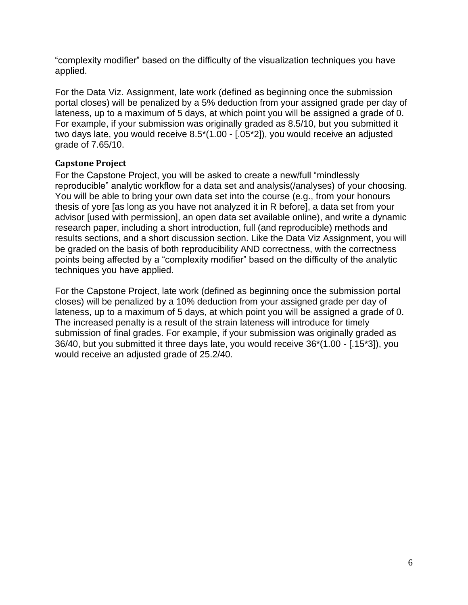"complexity modifier" based on the difficulty of the visualization techniques you have applied.

For the Data Viz. Assignment, late work (defined as beginning once the submission portal closes) will be penalized by a 5% deduction from your assigned grade per day of lateness, up to a maximum of 5 days, at which point you will be assigned a grade of 0. For example, if your submission was originally graded as 8.5/10, but you submitted it two days late, you would receive 8.5\*(1.00 - [.05\*2]), you would receive an adjusted grade of 7.65/10.

## **Capstone Project**

For the Capstone Project, you will be asked to create a new/full "mindlessly reproducible" analytic workflow for a data set and analysis(/analyses) of your choosing. You will be able to bring your own data set into the course (e.g., from your honours thesis of yore [as long as you have not analyzed it in R before], a data set from your advisor [used with permission], an open data set available online), and write a dynamic research paper, including a short introduction, full (and reproducible) methods and results sections, and a short discussion section. Like the Data Viz Assignment, you will be graded on the basis of both reproducibility AND correctness, with the correctness points being affected by a "complexity modifier" based on the difficulty of the analytic techniques you have applied.

For the Capstone Project, late work (defined as beginning once the submission portal closes) will be penalized by a 10% deduction from your assigned grade per day of lateness, up to a maximum of 5 days, at which point you will be assigned a grade of 0. The increased penalty is a result of the strain lateness will introduce for timely submission of final grades. For example, if your submission was originally graded as 36/40, but you submitted it three days late, you would receive 36\*(1.00 - [.15\*3]), you would receive an adjusted grade of 25.2/40.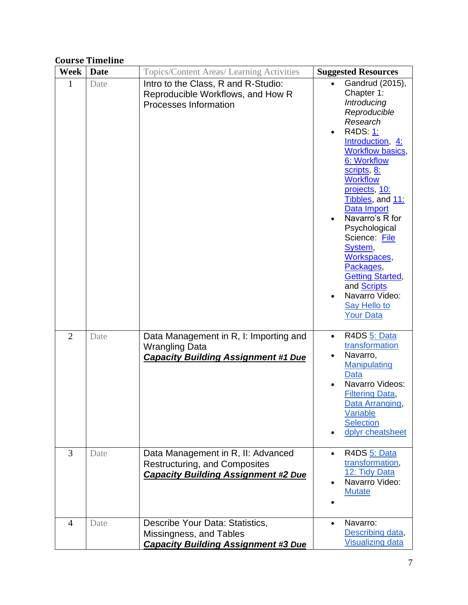# **Course Timeline**

| <b>Week</b>    | <b>Date</b> | <b>Topics/Content Areas/ Learning Activities</b>                                                                         | <b>Suggested Resources</b>                                                                                                                                                                                                                                                                                                                                                                                                                               |
|----------------|-------------|--------------------------------------------------------------------------------------------------------------------------|----------------------------------------------------------------------------------------------------------------------------------------------------------------------------------------------------------------------------------------------------------------------------------------------------------------------------------------------------------------------------------------------------------------------------------------------------------|
| $\mathbf{1}$   | Date        | Intro to the Class, R and R-Studio:<br>Reproducible Workflows, and How R<br>Processes Information                        | Gandrud (2015),<br>Chapter 1:<br>Introducing<br>Reproducible<br>Research<br>R4DS: 1:<br>$\bullet$<br>Introduction, 4:<br><b>Workflow basics,</b><br>6: Workflow<br>scripts, 8:<br><b>Workflow</b><br>projects, 10:<br>Tibbles, and 11:<br>Data Import<br>Navarro's R for<br>Psychological<br>Science: File<br>System,<br>Workspaces,<br>Packages,<br><b>Getting Started,</b><br>and Scripts<br>Navarro Video:<br><b>Say Hello to</b><br><b>Your Data</b> |
| $\overline{2}$ | Date        | Data Management in R, I: Importing and<br><b>Wrangling Data</b><br><b>Capacity Building Assignment #1 Due</b>            | R4DS 5: Data<br>$\bullet$<br>transformation<br>Navarro,<br>$\bullet$<br>Manipulating<br><b>Data</b><br>Navarro Videos:<br><b>Filtering Data,</b><br>Data Arranging,<br>Variable<br><b>Selection</b><br>dplyr cheatsheet                                                                                                                                                                                                                                  |
| 3              | Date        | Data Management in R, II: Advanced<br><b>Restructuring, and Composites</b><br><b>Capacity Building Assignment #2 Due</b> | R4DS 5: Data<br>transformation,<br>12: Tidy Data<br>Navarro Video:<br><b>Mutate</b>                                                                                                                                                                                                                                                                                                                                                                      |
| $\overline{4}$ | Date        | Describe Your Data: Statistics,<br>Missingness, and Tables<br><b>Capacity Building Assignment #3 Due</b>                 | Navarro:<br>Describing data,<br><b>Visualizing data</b>                                                                                                                                                                                                                                                                                                                                                                                                  |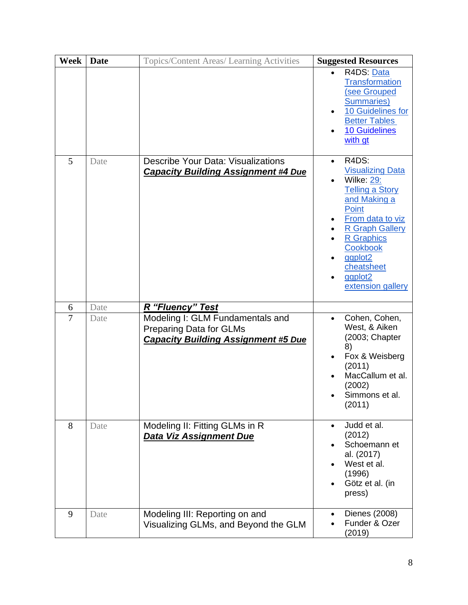| <b>Week</b>    | <b>Date</b> | Topics/Content Areas/ Learning Activities                                                                        | <b>Suggested Resources</b>                                                                                                                                                                                                                                                            |
|----------------|-------------|------------------------------------------------------------------------------------------------------------------|---------------------------------------------------------------------------------------------------------------------------------------------------------------------------------------------------------------------------------------------------------------------------------------|
|                |             |                                                                                                                  | R4DS: Data<br><b>Transformation</b><br>(see Grouped<br><b>Summaries</b> )<br>10 Guidelines for<br><b>Better Tables</b><br>10 Guidelines<br>with gt                                                                                                                                    |
| 5              | Date        | <b>Describe Your Data: Visualizations</b><br><b>Capacity Building Assignment #4 Due</b>                          | R4DS:<br>$\bullet$<br><b>Visualizing Data</b><br>Wilke: 29:<br><b>Telling a Story</b><br>and Making a<br>Point<br>From data to viz<br><b>R Graph Gallery</b><br><b>R</b> Graphics<br><b>Cookbook</b><br>ggplot <sub>2</sub><br>cheatsheet<br>ggplot <sub>2</sub><br>extension gallery |
| 6              | Date        | R "Fluency" Test                                                                                                 |                                                                                                                                                                                                                                                                                       |
| $\overline{7}$ | Date        | Modeling I: GLM Fundamentals and<br><b>Preparing Data for GLMs</b><br><b>Capacity Building Assignment #5 Due</b> | Cohen, Cohen,<br>$\bullet$<br>West, & Aiken<br>(2003; Chapter<br>8)<br>Fox & Weisberg<br>(2011)<br>MacCallum et al.<br>(2002)<br>Simmons et al.<br>(2011)                                                                                                                             |
| 8              | Date        | Modeling II: Fitting GLMs in R<br>Data Viz Assignment Due                                                        | Judd et al.<br>(2012)<br>Schoemann et<br>al. (2017)<br>West et al.<br>(1996)<br>Götz et al. (in<br>press)                                                                                                                                                                             |
| 9              | Date        | Modeling III: Reporting on and<br>Visualizing GLMs, and Beyond the GLM                                           | Dienes (2008)<br>Funder & Ozer<br>(2019)                                                                                                                                                                                                                                              |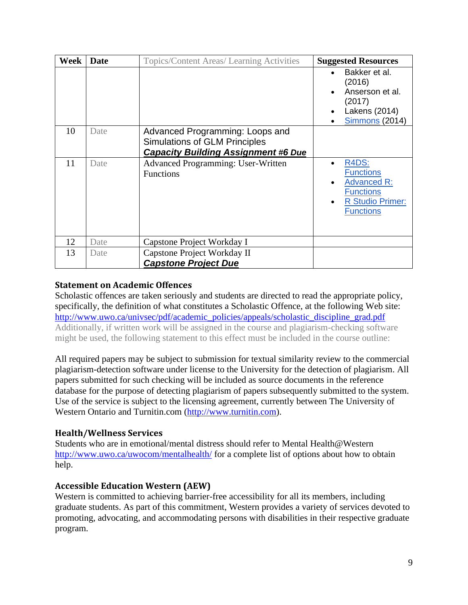| Week | <b>Date</b> | Topics/Content Areas/ Learning Activities                                                                             | <b>Suggested Resources</b>                                                                                         |
|------|-------------|-----------------------------------------------------------------------------------------------------------------------|--------------------------------------------------------------------------------------------------------------------|
|      |             |                                                                                                                       | Bakker et al.<br>(2016)<br>Anserson et al.<br>(2017)<br>Lakens (2014)<br><b>Simmons</b> (2014)                     |
| 10   | Date        | Advanced Programming: Loops and<br><b>Simulations of GLM Principles</b><br><b>Capacity Building Assignment #6 Due</b> |                                                                                                                    |
| 11   | Date        | <b>Advanced Programming: User-Written</b><br><b>Functions</b>                                                         | R4DS:<br><b>Functions</b><br><b>Advanced R:</b><br><b>Functions</b><br><b>R Studio Primer:</b><br><b>Functions</b> |
| 12   | Date        | Capstone Project Workday I                                                                                            |                                                                                                                    |
| 13   | Date        | Capstone Project Workday II<br><b>Capstone Project Due</b>                                                            |                                                                                                                    |

## **Statement on Academic Offences**

Scholastic offences are taken seriously and students are directed to read the appropriate policy, specifically, the definition of what constitutes a Scholastic Offence, at the following Web site: http://www.uwo.ca/univsec/pdf/academic\_policies/appeals/scholastic\_discipline\_grad.pdf Additionally, if written work will be assigned in the course and plagiarism-checking software might be used, the following statement to this effect must be included in the course outline:

All required papers may be subject to submission for textual similarity review to the commercial plagiarism-detection software under license to the University for the detection of plagiarism. All papers submitted for such checking will be included as source documents in the reference database for the purpose of detecting plagiarism of papers subsequently submitted to the system. Use of the service is subject to the licensing agreement, currently between The University of Western Ontario and Turnitin.com (http://www.turnitin.com).

## **Health/Wellness Services**

Students who are in emotional/mental distress should refer to Mental Health@Western http://www.uwo.ca/uwocom/mentalhealth/ for a complete list of options about how to obtain help.

## **Accessible Education Western (AEW)**

Western is committed to achieving barrier-free accessibility for all its members, including graduate students. As part of this commitment, Western provides a variety of services devoted to promoting, advocating, and accommodating persons with disabilities in their respective graduate program.